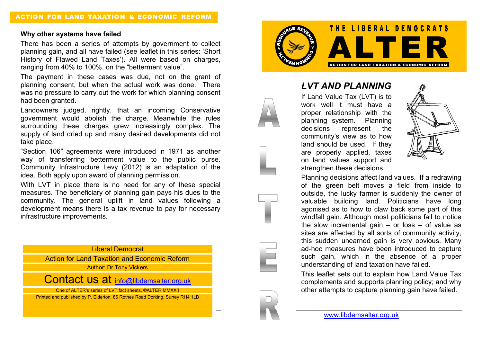## **Why other systems have failed**

There has been a series of attempts by government to collect planning gain, and all have failed (see leaflet in this series: 'Short History of Flawed Land Taxes'). All were based on charges, ranging from 40% to 100%, on the "betterment value".

The payment in these cases was due, not on the grant of planning consent, but when the actual work was done. There was no pressure to carry out the work for which planning consent had been granted.

Landowners judged, rightly, that an incoming Conservative government would abolish the charge. Meanwhile the rules surrounding these charges grew increasingly complex. The supply of land dried up and many desired developments did not take place.

"Section 106" agreements were introduced in 1971 as another way of transferring betterment value to the public purse. Community Infrastructure Levy (2012) is an adaptation of the idea. Both apply upon award of planning permission.

With LVT in place there is no need for any of these special measures. The beneficiary of planning gain pays his dues to the community. The general uplift in land values following a development means there is a tax revenue to pay for necessary infrastructure improvements.

Liberal Democrat

Action for Land Taxation and Economic Reform Author: Dr Tony Vickers

Contact us at info@libdemsalter.org.uk

One of ALTER's series of LVT fact sheets, ©ALTER MMXXII

Page | 4

Printed and published by P. Elderton, 86 Rothes Road Dorking, Surrey RH4 1LB



*LVT AND PLANNING* If Land Value Tax (LVT) is to

work well it must have a proper relationship with the planning system. Planning decisions represent the community's view as to how land should be used. If they are properly applied, taxes on land values support and strengthen these decisions.



Planning decisions affect land values. If a redrawing of the green belt moves a field from inside to outside, the lucky farmer is suddenly the owner of valuable building land. Politicians have long agonised as to how to claw back some part of this windfall gain. Although most politicians fail to notice the slow incremental gain  $-$  or loss  $-$  of value as sites are affected by all sorts of community activity, this sudden unearned gain is very obvious. Many ad-hoc measures have been introduced to capture such gain, which in the absence of a proper understanding of land taxation have failed.

This leaflet sets out to explain how Land Value Tax complements and supports planning policy; and why other attempts to capture planning gain have failed.